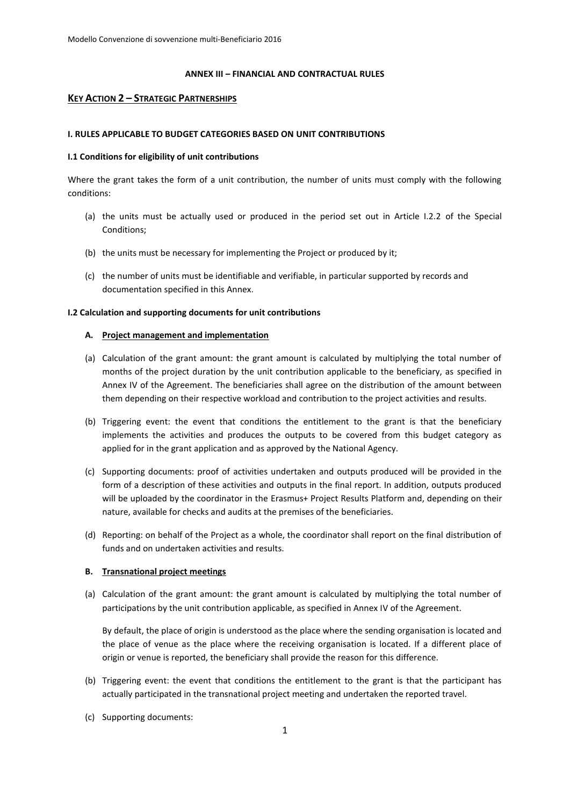#### **ANNEX III – FINANCIAL AND CONTRACTUAL RULES**

### **KEY ACTION 2 – STRATEGIC PARTNERSHIPS**

#### **I. RULES APPLICABLE TO BUDGET CATEGORIES BASED ON UNIT CONTRIBUTIONS**

#### **I.1 Conditions for eligibility of unit contributions**

Where the grant takes the form of a unit contribution, the number of units must comply with the following conditions:

- (a) the units must be actually used or produced in the period set out in Article I.2.2 of the Special Conditions;
- (b) the units must be necessary for implementing the Project or produced by it;
- (c) the number of units must be identifiable and verifiable, in particular supported by records and documentation specified in this Annex.

#### **I.2 Calculation and supporting documents for unit contributions**

#### **A. Project management and implementation**

- (a) Calculation of the grant amount: the grant amount is calculated by multiplying the total number of months of the project duration by the unit contribution applicable to the beneficiary, as specified in Annex IV of the Agreement. The beneficiaries shall agree on the distribution of the amount between them depending on their respective workload and contribution to the project activities and results.
- (b) Triggering event: the event that conditions the entitlement to the grant is that the beneficiary implements the activities and produces the outputs to be covered from this budget category as applied for in the grant application and as approved by the National Agency.
- (c) Supporting documents: proof of activities undertaken and outputs produced will be provided in the form of a description of these activities and outputs in the final report. In addition, outputs produced will be uploaded by the coordinator in the Erasmus+ Project Results Platform and, depending on their nature, available for checks and audits at the premises of the beneficiaries.
- (d) Reporting: on behalf of the Project as a whole, the coordinator shall report on the final distribution of funds and on undertaken activities and results.

#### **B. Transnational project meetings**

(a) Calculation of the grant amount: the grant amount is calculated by multiplying the total number of participations by the unit contribution applicable, as specified in Annex IV of the Agreement.

By default, the place of origin is understood as the place where the sending organisation is located and the place of venue as the place where the receiving organisation is located. If a different place of origin or venue is reported, the beneficiary shall provide the reason for this difference.

- (b) Triggering event: the event that conditions the entitlement to the grant is that the participant has actually participated in the transnational project meeting and undertaken the reported travel.
- (c) Supporting documents: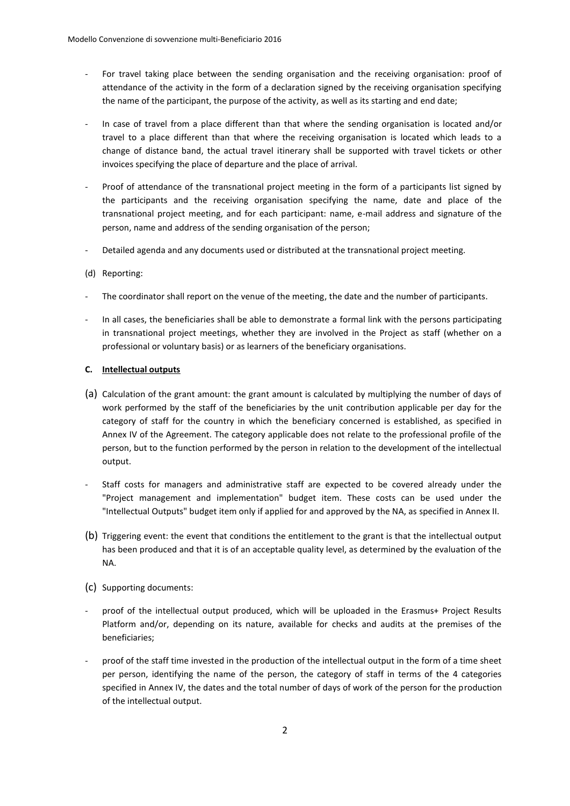- For travel taking place between the sending organisation and the receiving organisation: proof of attendance of the activity in the form of a declaration signed by the receiving organisation specifying the name of the participant, the purpose of the activity, as well as its starting and end date;
- In case of travel from a place different than that where the sending organisation is located and/or travel to a place different than that where the receiving organisation is located which leads to a change of distance band, the actual travel itinerary shall be supported with travel tickets or other invoices specifying the place of departure and the place of arrival.
- Proof of attendance of the transnational project meeting in the form of a participants list signed by the participants and the receiving organisation specifying the name, date and place of the transnational project meeting, and for each participant: name, e-mail address and signature of the person, name and address of the sending organisation of the person;
- Detailed agenda and any documents used or distributed at the transnational project meeting.

### (d) Reporting:

- The coordinator shall report on the venue of the meeting, the date and the number of participants.
- In all cases, the beneficiaries shall be able to demonstrate a formal link with the persons participating in transnational project meetings, whether they are involved in the Project as staff (whether on a professional or voluntary basis) or as learners of the beneficiary organisations.

### **C. Intellectual outputs**

- (a) Calculation of the grant amount: the grant amount is calculated by multiplying the number of days of work performed by the staff of the beneficiaries by the unit contribution applicable per day for the category of staff for the country in which the beneficiary concerned is established, as specified in Annex IV of the Agreement. The category applicable does not relate to the professional profile of the person, but to the function performed by the person in relation to the development of the intellectual output.
- Staff costs for managers and administrative staff are expected to be covered already under the "Project management and implementation" budget item. These costs can be used under the "Intellectual Outputs" budget item only if applied for and approved by the NA, as specified in Annex II.
- (b) Triggering event: the event that conditions the entitlement to the grant is that the intellectual output has been produced and that it is of an acceptable quality level, as determined by the evaluation of the NA.
- (c) Supporting documents:
- proof of the intellectual output produced, which will be uploaded in the Erasmus+ Project Results Platform and/or, depending on its nature, available for checks and audits at the premises of the beneficiaries;
- proof of the staff time invested in the production of the intellectual output in the form of a time sheet per person, identifying the name of the person, the category of staff in terms of the 4 categories specified in Annex IV, the dates and the total number of days of work of the person for the production of the intellectual output.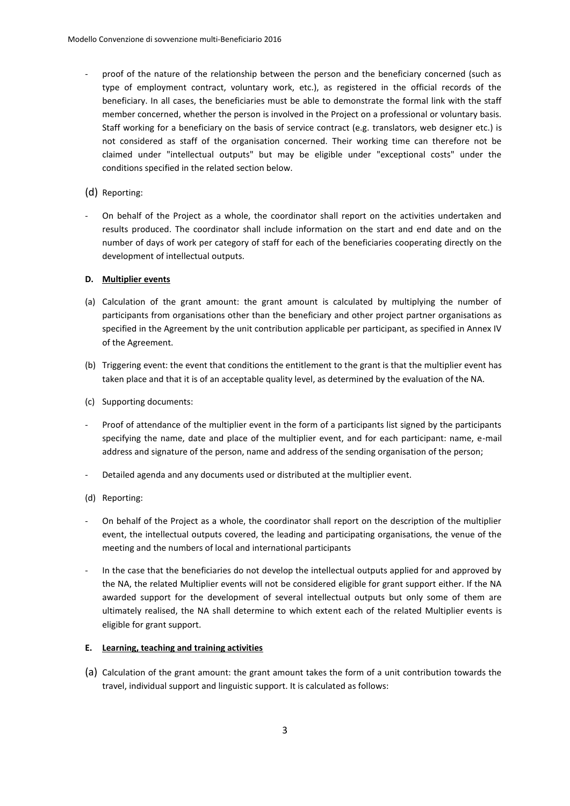- proof of the nature of the relationship between the person and the beneficiary concerned (such as type of employment contract, voluntary work, etc.), as registered in the official records of the beneficiary. In all cases, the beneficiaries must be able to demonstrate the formal link with the staff member concerned, whether the person is involved in the Project on a professional or voluntary basis. Staff working for a beneficiary on the basis of service contract (e.g. translators, web designer etc.) is not considered as staff of the organisation concerned. Their working time can therefore not be claimed under "intellectual outputs" but may be eligible under "exceptional costs" under the conditions specified in the related section below.
- (d) Reporting:
- On behalf of the Project as a whole, the coordinator shall report on the activities undertaken and results produced. The coordinator shall include information on the start and end date and on the number of days of work per category of staff for each of the beneficiaries cooperating directly on the development of intellectual outputs.

### **D. Multiplier events**

- (a) Calculation of the grant amount: the grant amount is calculated by multiplying the number of participants from organisations other than the beneficiary and other project partner organisations as specified in the Agreement by the unit contribution applicable per participant, as specified in Annex IV of the Agreement.
- (b) Triggering event: the event that conditions the entitlement to the grant is that the multiplier event has taken place and that it is of an acceptable quality level, as determined by the evaluation of the NA.
- (c) Supporting documents:
- Proof of attendance of the multiplier event in the form of a participants list signed by the participants specifying the name, date and place of the multiplier event, and for each participant: name, e-mail address and signature of the person, name and address of the sending organisation of the person;
- Detailed agenda and any documents used or distributed at the multiplier event.
- (d) Reporting:
- On behalf of the Project as a whole, the coordinator shall report on the description of the multiplier event, the intellectual outputs covered, the leading and participating organisations, the venue of the meeting and the numbers of local and international participants
- In the case that the beneficiaries do not develop the intellectual outputs applied for and approved by the NA, the related Multiplier events will not be considered eligible for grant support either. If the NA awarded support for the development of several intellectual outputs but only some of them are ultimately realised, the NA shall determine to which extent each of the related Multiplier events is eligible for grant support.

#### **E. Learning, teaching and training activities**

(a) Calculation of the grant amount: the grant amount takes the form of a unit contribution towards the travel, individual support and linguistic support. It is calculated as follows: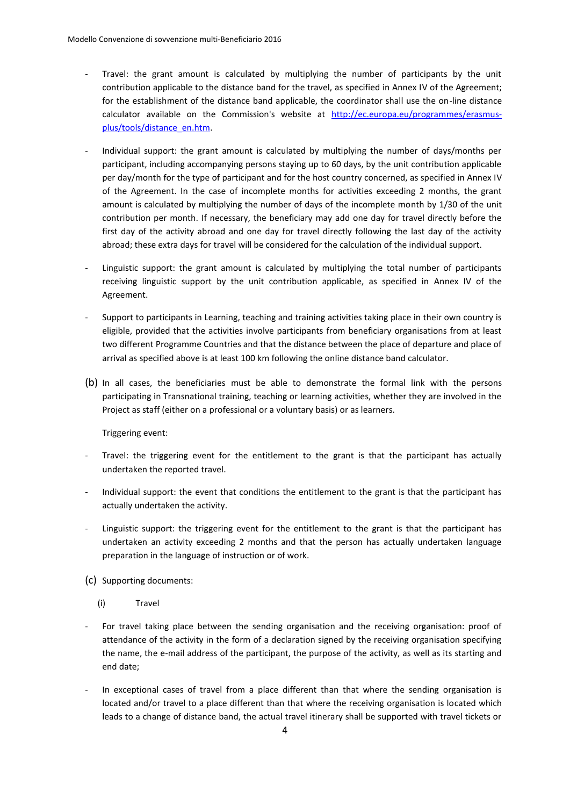- Travel: the grant amount is calculated by multiplying the number of participants by the unit contribution applicable to the distance band for the travel, as specified in Annex IV of the Agreement; for the establishment of the distance band applicable, the coordinator shall use the on-line distance calculator available on the Commission's website at [http://ec.europa.eu/programmes/erasmus](http://ec.europa.eu/programmes/erasmus-plus/tools/distance_en.htm)[plus/tools/distance\\_en.htm.](http://ec.europa.eu/programmes/erasmus-plus/tools/distance_en.htm)
- Individual support: the grant amount is calculated by multiplying the number of days/months per participant, including accompanying persons staying up to 60 days, by the unit contribution applicable per day/month for the type of participant and for the host country concerned, as specified in Annex IV of the Agreement. In the case of incomplete months for activities exceeding 2 months, the grant amount is calculated by multiplying the number of days of the incomplete month by 1/30 of the unit contribution per month. If necessary, the beneficiary may add one day for travel directly before the first day of the activity abroad and one day for travel directly following the last day of the activity abroad; these extra days for travel will be considered for the calculation of the individual support.
- Linguistic support: the grant amount is calculated by multiplying the total number of participants receiving linguistic support by the unit contribution applicable, as specified in Annex IV of the Agreement.
- Support to participants in Learning, teaching and training activities taking place in their own country is eligible, provided that the activities involve participants from beneficiary organisations from at least two different Programme Countries and that the distance between the place of departure and place of arrival as specified above is at least 100 km following the online distance band calculator.
- (b) In all cases, the beneficiaries must be able to demonstrate the formal link with the persons participating in Transnational training, teaching or learning activities, whether they are involved in the Project as staff (either on a professional or a voluntary basis) or as learners.

Triggering event:

- Travel: the triggering event for the entitlement to the grant is that the participant has actually undertaken the reported travel.
- Individual support: the event that conditions the entitlement to the grant is that the participant has actually undertaken the activity.
- Linguistic support: the triggering event for the entitlement to the grant is that the participant has undertaken an activity exceeding 2 months and that the person has actually undertaken language preparation in the language of instruction or of work.
- (c) Supporting documents:
	- (i) Travel
- For travel taking place between the sending organisation and the receiving organisation: proof of attendance of the activity in the form of a declaration signed by the receiving organisation specifying the name, the e-mail address of the participant, the purpose of the activity, as well as its starting and end date;
- In exceptional cases of travel from a place different than that where the sending organisation is located and/or travel to a place different than that where the receiving organisation is located which leads to a change of distance band, the actual travel itinerary shall be supported with travel tickets or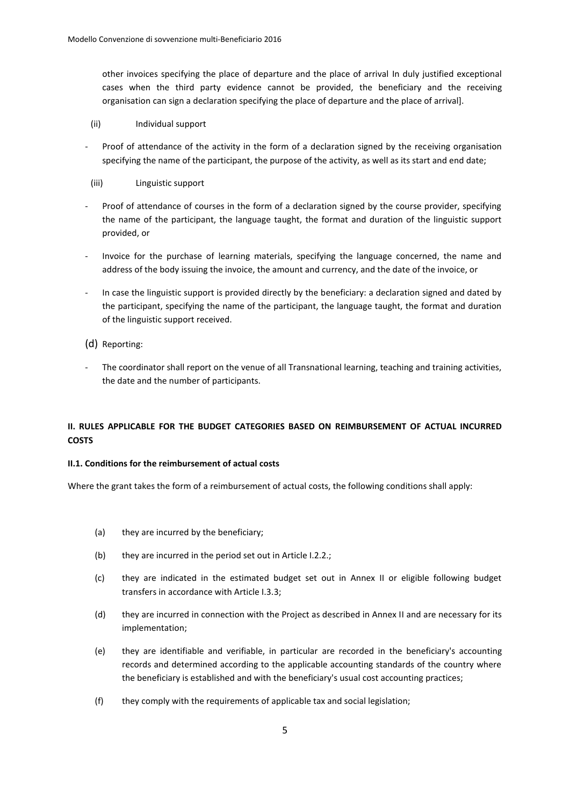other invoices specifying the place of departure and the place of arrival In duly justified exceptional cases when the third party evidence cannot be provided, the beneficiary and the receiving organisation can sign a declaration specifying the place of departure and the place of arrival].

- (ii) Individual support
- Proof of attendance of the activity in the form of a declaration signed by the receiving organisation specifying the name of the participant, the purpose of the activity, as well as its start and end date;
- (iii) Linguistic support
- Proof of attendance of courses in the form of a declaration signed by the course provider, specifying the name of the participant, the language taught, the format and duration of the linguistic support provided, or
- Invoice for the purchase of learning materials, specifying the language concerned, the name and address of the body issuing the invoice, the amount and currency, and the date of the invoice, or
- In case the linguistic support is provided directly by the beneficiary: a declaration signed and dated by the participant, specifying the name of the participant, the language taught, the format and duration of the linguistic support received.
- (d) Reporting:
- The coordinator shall report on the venue of all Transnational learning, teaching and training activities, the date and the number of participants.

# **II. RULES APPLICABLE FOR THE BUDGET CATEGORIES BASED ON REIMBURSEMENT OF ACTUAL INCURRED COSTS**

#### **II.1. Conditions for the reimbursement of actual costs**

Where the grant takes the form of a reimbursement of actual costs, the following conditions shall apply:

- (a) they are incurred by the beneficiary;
- (b) they are incurred in the period set out in Article I.2.2.;
- (c) they are indicated in the estimated budget set out in Annex II or eligible following budget transfers in accordance with Article I.3.3;
- (d) they are incurred in connection with the Project as described in Annex II and are necessary for its implementation;
- (e) they are identifiable and verifiable, in particular are recorded in the beneficiary's accounting records and determined according to the applicable accounting standards of the country where the beneficiary is established and with the beneficiary's usual cost accounting practices;
- (f) they comply with the requirements of applicable tax and social legislation;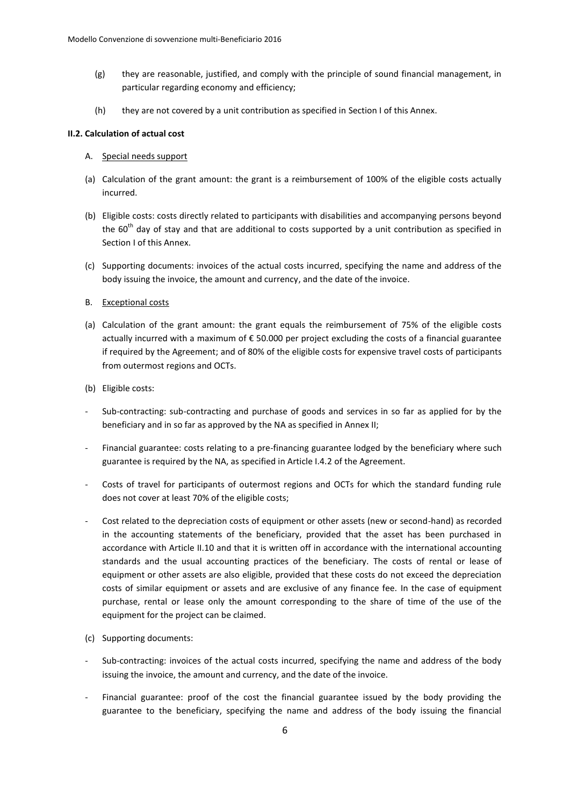- (g) they are reasonable, justified, and comply with the principle of sound financial management, in particular regarding economy and efficiency;
- (h) they are not covered by a unit contribution as specified in Section I of this Annex.

#### **II.2. Calculation of actual cost**

### A. Special needs support

- (a) Calculation of the grant amount: the grant is a reimbursement of 100% of the eligible costs actually incurred.
- (b) Eligible costs: costs directly related to participants with disabilities and accompanying persons beyond the  $60<sup>th</sup>$  day of stay and that are additional to costs supported by a unit contribution as specified in Section I of this Annex.
- (c) Supporting documents: invoices of the actual costs incurred, specifying the name and address of the body issuing the invoice, the amount and currency, and the date of the invoice.

#### B. Exceptional costs

- (a) Calculation of the grant amount: the grant equals the reimbursement of 75% of the eligible costs actually incurred with a maximum of € 50.000 per project excluding the costs of a financial guarantee if required by the Agreement; and of 80% of the eligible costs for expensive travel costs of participants from outermost regions and OCTs.
- (b) Eligible costs:
- Sub-contracting: sub-contracting and purchase of goods and services in so far as applied for by the beneficiary and in so far as approved by the NA as specified in Annex II;
- Financial guarantee: costs relating to a pre-financing guarantee lodged by the beneficiary where such guarantee is required by the NA, as specified in Article I.4.2 of the Agreement.
- Costs of travel for participants of outermost regions and OCTs for which the standard funding rule does not cover at least 70% of the eligible costs;
- Cost related to the depreciation costs of equipment or other assets (new or second-hand) as recorded in the accounting statements of the beneficiary, provided that the asset has been purchased in accordance with Article II.10 and that it is written off in accordance with the international accounting standards and the usual accounting practices of the beneficiary. The costs of rental or lease of equipment or other assets are also eligible, provided that these costs do not exceed the depreciation costs of similar equipment or assets and are exclusive of any finance fee. In the case of equipment purchase, rental or lease only the amount corresponding to the share of time of the use of the equipment for the project can be claimed.
- (c) Supporting documents:
- Sub-contracting: invoices of the actual costs incurred, specifying the name and address of the body issuing the invoice, the amount and currency, and the date of the invoice.
- Financial guarantee: proof of the cost the financial guarantee issued by the body providing the guarantee to the beneficiary, specifying the name and address of the body issuing the financial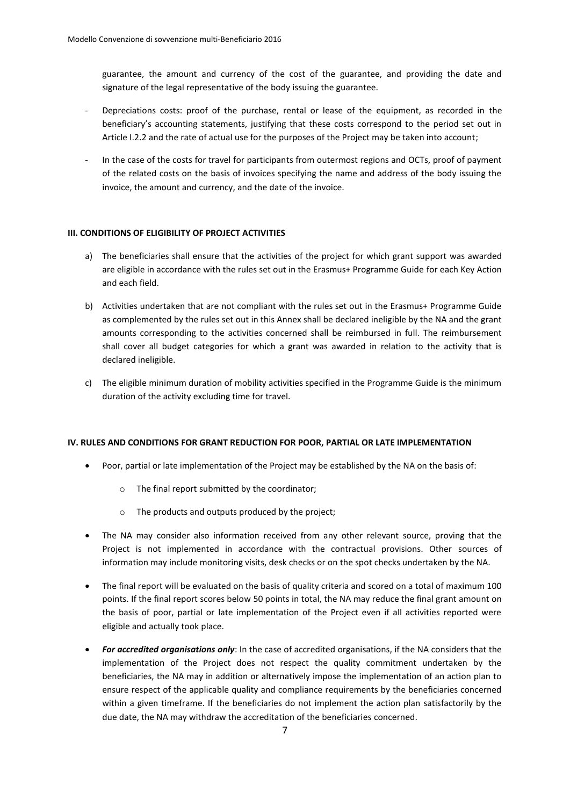guarantee, the amount and currency of the cost of the guarantee, and providing the date and signature of the legal representative of the body issuing the guarantee.

- Depreciations costs: proof of the purchase, rental or lease of the equipment, as recorded in the beneficiary's accounting statements, justifying that these costs correspond to the period set out in Article I.2.2 and the rate of actual use for the purposes of the Project may be taken into account;
- In the case of the costs for travel for participants from outermost regions and OCTs, proof of payment of the related costs on the basis of invoices specifying the name and address of the body issuing the invoice, the amount and currency, and the date of the invoice.

### **III. CONDITIONS OF ELIGIBILITY OF PROJECT ACTIVITIES**

- a) The beneficiaries shall ensure that the activities of the project for which grant support was awarded are eligible in accordance with the rules set out in the Erasmus+ Programme Guide for each Key Action and each field.
- b) Activities undertaken that are not compliant with the rules set out in the Erasmus+ Programme Guide as complemented by the rules set out in this Annex shall be declared ineligible by the NA and the grant amounts corresponding to the activities concerned shall be reimbursed in full. The reimbursement shall cover all budget categories for which a grant was awarded in relation to the activity that is declared ineligible.
- c) The eligible minimum duration of mobility activities specified in the Programme Guide is the minimum duration of the activity excluding time for travel.

### **IV. RULES AND CONDITIONS FOR GRANT REDUCTION FOR POOR, PARTIAL OR LATE IMPLEMENTATION**

- Poor, partial or late implementation of the Project may be established by the NA on the basis of:
	- o The final report submitted by the coordinator;
	- o The products and outputs produced by the project;
- The NA may consider also information received from any other relevant source, proving that the Project is not implemented in accordance with the contractual provisions. Other sources of information may include monitoring visits, desk checks or on the spot checks undertaken by the NA.
- The final report will be evaluated on the basis of quality criteria and scored on a total of maximum 100 points. If the final report scores below 50 points in total, the NA may reduce the final grant amount on the basis of poor, partial or late implementation of the Project even if all activities reported were eligible and actually took place.
- *For accredited organisations only*: In the case of accredited organisations, if the NA considers that the implementation of the Project does not respect the quality commitment undertaken by the beneficiaries, the NA may in addition or alternatively impose the implementation of an action plan to ensure respect of the applicable quality and compliance requirements by the beneficiaries concerned within a given timeframe. If the beneficiaries do not implement the action plan satisfactorily by the due date, the NA may withdraw the accreditation of the beneficiaries concerned.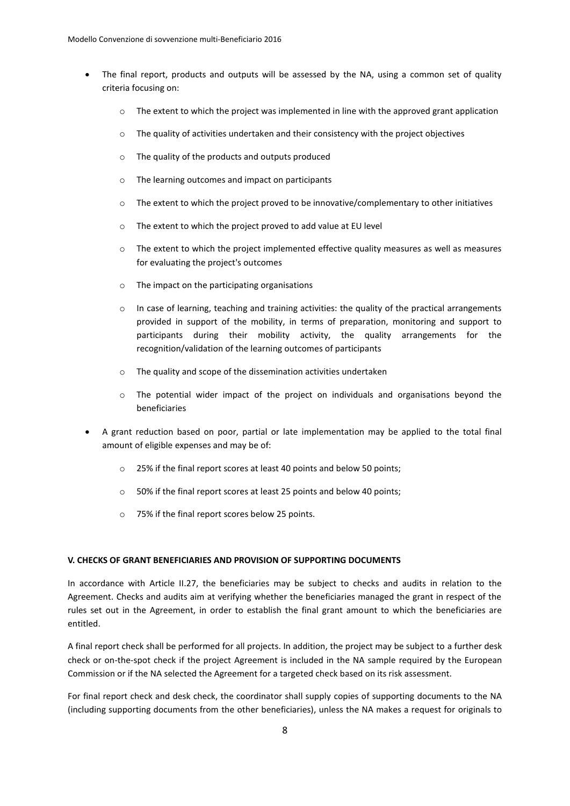- The final report, products and outputs will be assessed by the NA, using a common set of quality criteria focusing on:
	- $\circ$  The extent to which the project was implemented in line with the approved grant application
	- $\circ$  The quality of activities undertaken and their consistency with the project objectives
	- o The quality of the products and outputs produced
	- o The learning outcomes and impact on participants
	- $\circ$  The extent to which the project proved to be innovative/complementary to other initiatives
	- o The extent to which the project proved to add value at EU level
	- o The extent to which the project implemented effective quality measures as well as measures for evaluating the project's outcomes
	- o The impact on the participating organisations
	- $\circ$  In case of learning, teaching and training activities: the quality of the practical arrangements provided in support of the mobility, in terms of preparation, monitoring and support to participants during their mobility activity, the quality arrangements for the recognition/validation of the learning outcomes of participants
	- o The quality and scope of the dissemination activities undertaken
	- $\circ$  The potential wider impact of the project on individuals and organisations beyond the beneficiaries
- A grant reduction based on poor, partial or late implementation may be applied to the total final amount of eligible expenses and may be of:
	- o 25% if the final report scores at least 40 points and below 50 points;
	- o 50% if the final report scores at least 25 points and below 40 points;
	- o 75% if the final report scores below 25 points.

### **V. CHECKS OF GRANT BENEFICIARIES AND PROVISION OF SUPPORTING DOCUMENTS**

In accordance with Article II.27, the beneficiaries may be subject to checks and audits in relation to the Agreement. Checks and audits aim at verifying whether the beneficiaries managed the grant in respect of the rules set out in the Agreement, in order to establish the final grant amount to which the beneficiaries are entitled.

A final report check shall be performed for all projects. In addition, the project may be subject to a further desk check or on-the-spot check if the project Agreement is included in the NA sample required by the European Commission or if the NA selected the Agreement for a targeted check based on its risk assessment.

For final report check and desk check, the coordinator shall supply copies of supporting documents to the NA (including supporting documents from the other beneficiaries), unless the NA makes a request for originals to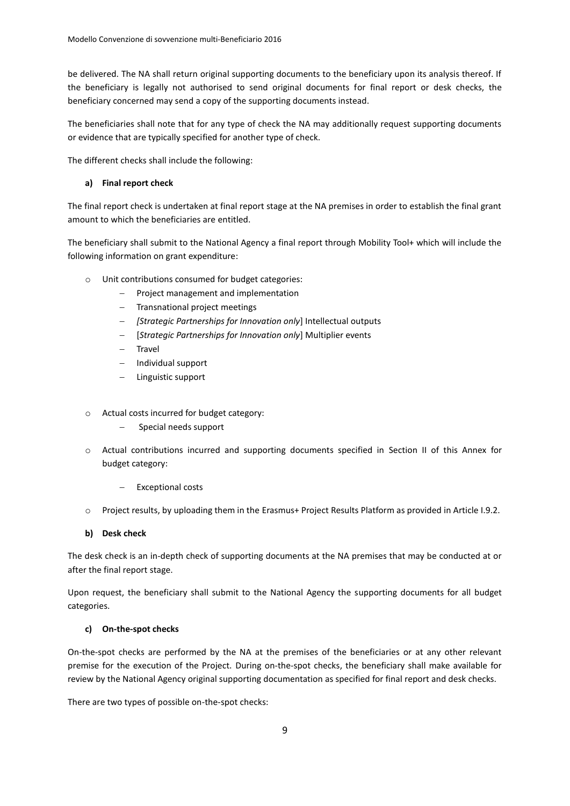be delivered. The NA shall return original supporting documents to the beneficiary upon its analysis thereof. If the beneficiary is legally not authorised to send original documents for final report or desk checks, the beneficiary concerned may send a copy of the supporting documents instead.

The beneficiaries shall note that for any type of check the NA may additionally request supporting documents or evidence that are typically specified for another type of check.

The different checks shall include the following:

### **a) Final report check**

The final report check is undertaken at final report stage at the NA premises in order to establish the final grant amount to which the beneficiaries are entitled.

The beneficiary shall submit to the National Agency a final report through Mobility Tool+ which will include the following information on grant expenditure:

- o Unit contributions consumed for budget categories:
	- Project management and implementation
	- Transnational project meetings
	- *[Strategic Partnerships for Innovation only*] Intellectual outputs
	- [*Strategic Partnerships for Innovation only*] Multiplier events
	- Travel
	- $-$  Individual support
	- Linguistic support
- o Actual costs incurred for budget category:
	- Special needs support
- o Actual contributions incurred and supporting documents specified in Section II of this Annex for budget category:
	- Exceptional costs
- o Project results, by uploading them in the Erasmus+ Project Results Platform as provided in Article I.9.2.

#### **b) Desk check**

The desk check is an in-depth check of supporting documents at the NA premises that may be conducted at or after the final report stage.

Upon request, the beneficiary shall submit to the National Agency the supporting documents for all budget categories.

#### **c) On-the-spot checks**

On-the-spot checks are performed by the NA at the premises of the beneficiaries or at any other relevant premise for the execution of the Project. During on-the-spot checks, the beneficiary shall make available for review by the National Agency original supporting documentation as specified for final report and desk checks.

There are two types of possible on-the-spot checks: